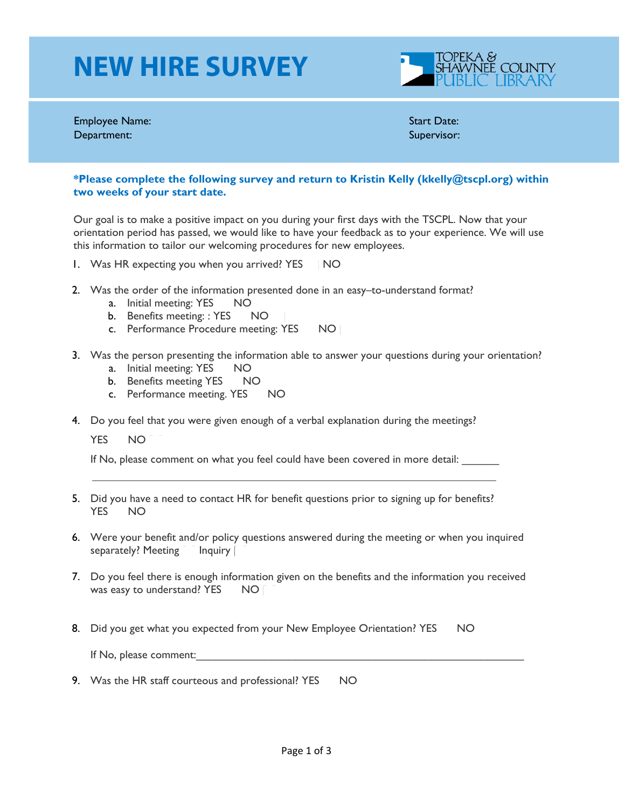## **NEW HIRE SURVEY**



Employee Name: Start Date: Department: Supervisor: Supervisor: Supervisor: Supervisor: Supervisor: Supervisor: Supervisor: Supervisor: Supervisor: Supervisor: Supervisor: Supervisor: Supervisor: Supervisor: Supervisor: Supervisor: Supervisor: Superv

## **\*Please complete the following survey and return to Kristin Kelly (kkelly@tscpl.org) within two weeks of your start date.**

Our goal is to make a positive impact on you during your first days with the TSCPL. Now that your orientation period has passed, we would like to have your feedback as to your experience. We will use this information to tailor our welcoming procedures for new employees.

- 1. Was HR expecting you when you arrived? YES NO
- 2. Was the order of the information presented done in an easy–to-understand format?
	- a. Initial meeting: YES | NO
	- b. Benefits meeting: : YES NO
	- c. Performance Procedure meeting: YES NO |
- 3. Was the person presenting the information able to answer your questions during your orientation?
	- a. Initial meeting: YES NO
	- b. Benefits meeting YES NO
	- c. Performance meeting. YES NO
- 4. Do you feel that you were given enough of a verbal explanation during the meetings?

YES NO

If No, please comment on what you feel could have been covered in more detail:

- 5. Did you have a need to contact HR for benefit questions prior to signing up for benefits? YES NO
- 6. Were your benefit and/or policy questions answered during the meeting or when you inquired separately? Meeting Inquiry
- 7. Do you feel there is enough information given on the benefits and the information you received was easy to understand? YES NO
- 8. Did you get what you expected from your New Employee Orientation? YES NO

If No, please comment:

9. Was the HR staff courteous and professional? YES NO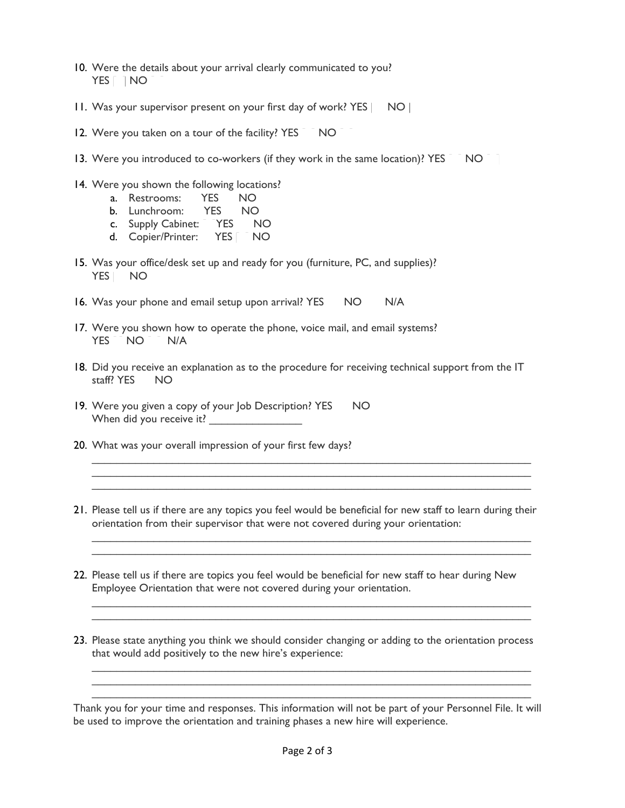- 10. Were the details about your arrival clearly communicated to you? YES INO
- 11. Was your supervisor present on your first day of work? YES | NO |
- 12. Were you taken on a tour of the facility? YES NO
- 13. Were you introduced to co-workers (if they work in the same location)? YES NO
- 14. Were you shown the following locations?
	- a. Restrooms: YES NO
	- b. Lunchroom: YES NO
	- c. Supply Cabinet: YES NO
	- d. Copier/Printer: YES | NO
- 15. Was your office/desk set up and ready for you (furniture, PC, and supplies)? YES NO
- 16. Was your phone and email setup upon arrival? YES NO N/A
- 17. Were you shown how to operate the phone, voice mail, and email systems? YES NO N/A
- 18. Did you receive an explanation as to the procedure for receiving technical support from the IT staff?  $YFS$   $NO$
- 19. Were you given a copy of your Job Description? YES NO When did you receive it? \_\_\_\_\_\_\_\_\_\_\_\_\_\_\_
- 20. What was your overall impression of your first few days?
- 21. Please tell us if there are any topics you feel would be beneficial for new staff to learn during their orientation from their supervisor that were not covered during your orientation:

 $\_$  , and the set of the set of the set of the set of the set of the set of the set of the set of the set of the set of the set of the set of the set of the set of the set of the set of the set of the set of the set of th  $\_$  , and the set of the set of the set of the set of the set of the set of the set of the set of the set of the set of the set of the set of the set of the set of the set of the set of the set of the set of the set of th

 $\_$  , and the set of the set of the set of the set of the set of the set of the set of the set of the set of the set of the set of the set of the set of the set of the set of the set of the set of the set of the set of th  $\_$  , and the set of the set of the set of the set of the set of the set of the set of the set of the set of the set of the set of the set of the set of the set of the set of the set of the set of the set of the set of th

 $\_$  , and the set of the set of the set of the set of the set of the set of the set of the set of the set of the set of the set of the set of the set of the set of the set of the set of the set of the set of the set of th  $\_$  , and the set of the set of the set of the set of the set of the set of the set of the set of the set of the set of the set of the set of the set of the set of the set of the set of the set of the set of the set of th  $\_$  , and the set of the set of the set of the set of the set of the set of the set of the set of the set of the set of the set of the set of the set of the set of the set of the set of the set of the set of the set of th

- 22. Please tell us if there are topics you feel would be beneficial for new staff to hear during New Employee Orientation that were not covered during your orientation.
- 23. Please state anything you think we should consider changing or adding to the orientation process that would add positively to the new hire's experience:

 $\_$  , and the set of the set of the set of the set of the set of the set of the set of the set of the set of the set of the set of the set of the set of the set of the set of the set of the set of the set of the set of th  $\_$  , and the set of the set of the set of the set of the set of the set of the set of the set of the set of the set of the set of the set of the set of the set of the set of the set of the set of the set of the set of th  $\_$  , and the set of the set of the set of the set of the set of the set of the set of the set of the set of the set of the set of the set of the set of the set of the set of the set of the set of the set of the set of th

Thank you for your time and responses. This information will not be part of your Personnel File. It will be used to improve the orientation and training phases a new hire will experience.